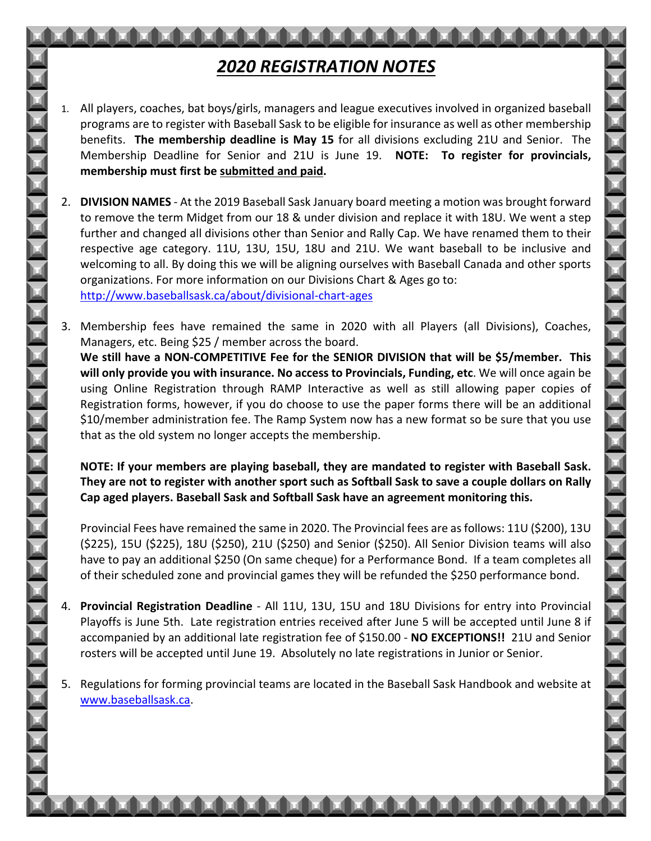## *2020 REGISTRATION NOTES*

- 1. All players, coaches, bat boys/girls, managers and league executives involved in organized baseball programs are to register with Baseball Sask to be eligible for insurance as well as other membership benefits. **The membership deadline is May 15** for all divisions excluding 21U and Senior. The Membership Deadline for Senior and 21U is June 19. **NOTE: To register for provincials, membership must first be submitted and paid.**
- 2. **DIVISION NAMES** At the 2019 Baseball Sask January board meeting a motion was brought forward to remove the term Midget from our 18 & under division and replace it with 18U. We went a step further and changed all divisions other than Senior and Rally Cap. We have renamed them to their respective age category. 11U, 13U, 15U, 18U and 21U. We want baseball to be inclusive and welcoming to all. By doing this we will be aligning ourselves with Baseball Canada and other sports organizations. For more information on our Divisions Chart & Ages go to: http://www.baseballsask.ca/about/divisional-chart-ages
- 3. Membership fees have remained the same in 2020 with all Players (all Divisions), Coaches, Managers, etc. Being \$25 / member across the board. **We still have a NON-COMPETITIVE Fee for the SENIOR DIVISION that will be \$5/member. This will only provide you with insurance. No access to Provincials, Funding, etc**. We will once again be using Online Registration through RAMP Interactive as well as still allowing paper copies of Registration forms, however, if you do choose to use the paper forms there will be an additional \$10/member administration fee. The Ramp System now has a new format so be sure that you use that as the old system no longer accepts the membership.

**NOTE: If your members are playing baseball, they are mandated to register with Baseball Sask. They are not to register with another sport such as Softball Sask to save a couple dollars on Rally Cap aged players. Baseball Sask and Softball Sask have an agreement monitoring this.**

Provincial Fees have remained the same in 2020. The Provincial fees are as follows: 11U (\$200), 13U (\$225), 15U (\$225), 18U (\$250), 21U (\$250) and Senior (\$250). All Senior Division teams will also have to pay an additional \$250 (On same cheque) for a Performance Bond. If a team completes all of their scheduled zone and provincial games they will be refunded the \$250 performance bond.

- 4. **Provincial Registration Deadline** All 11U, 13U, 15U and 18U Divisions for entry into Provincial Playoffs is June 5th. Late registration entries received after June 5 will be accepted until June 8 if accompanied by an additional late registration fee of \$150.00 - **NO EXCEPTIONS!!** 21U and Senior rosters will be accepted until June 19. Absolutely no late registrations in Junior or Senior.
- 5. Regulations for forming provincial teams are located in the Baseball Sask Handbook and website at www.baseballsask.ca.

**N N N N N N N N N N N N N**